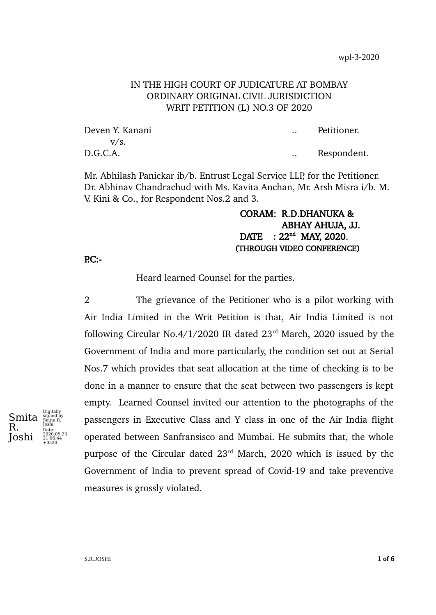# IN THE HIGH COURT OF JUDICATURE AT BOMBAY ORDINARY ORIGINAL CIVIL JURISDICTION WRIT PETITION (L) NO.3 OF 2020

| Deven Y. Kanani | Petitioner. |
|-----------------|-------------|
| V/S.            |             |
| D.G.C.A.        | Respondent. |

Mr. Abhilash Panickar ib/b. Entrust Legal Service LLP, for the Petitioner. Dr. Abhinav Chandrachud with Ms. Kavita Anchan, Mr. Arsh Misra i/b. M. V. Kini & Co., for Respondent Nos.2 and 3.

# CORAM: R.D.DHANUKA & ABHAY AHUJA, JJ.  $DATA: 22<sup>nd</sup>$  MAY, 2020. (THROUGH VIDEO CONFERENCE)

 $PC:$ -

Heard learned Counsel for the parties.

2 The grievance of the Petitioner who is a pilot working with Air India Limited in the Writ Petition is that, Air India Limited is not following Circular No.4/1/2020 IR dated  $23<sup>rd</sup>$  March, 2020 issued by the Government of India and more particularly, the condition set out at Serial Nos.7 which provides that seat allocation at the time of checking is to be done in a manner to ensure that the seat between two passengers is kept empty. Learned Counsel invited our attention to the photographs of the passengers in Executive Class and Y class in one of the Air India flight operated between Sanfransisco and Mumbai. He submits that, the whole purpose of the Circular dated 23<sup>rd</sup> March, 2020 which is issued by the Government of India to prevent spread of Covid-19 and take preventive measures is grossly violated.

Smita R. Joshi Digitall signed by Smita R. Joshi Date: 2020.05.23 21:06:44 +0530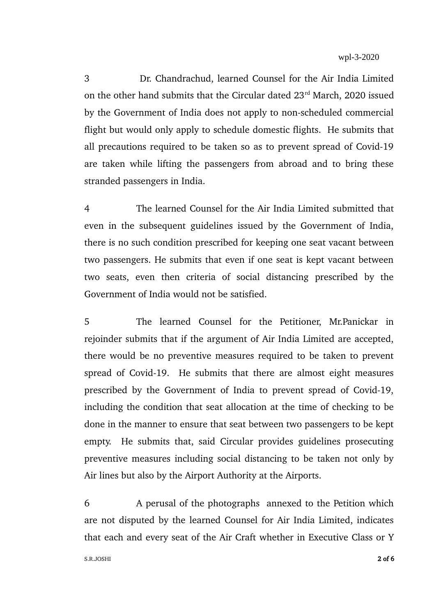3 Dr. Chandrachud, learned Counsel for the Air India Limited on the other hand submits that the Circular dated 23<sup>rd</sup> March, 2020 issued by the Government of India does not apply to non-scheduled commercial flight but would only apply to schedule domestic flights. He submits that all precautions required to be taken so as to prevent spread of Covid-19 are taken while lifting the passengers from abroad and to bring these stranded passengers in India.

4 The learned Counsel for the Air India Limited submitted that even in the subsequent guidelines issued by the Government of India, there is no such condition prescribed for keeping one seat vacant between two passengers. He submits that even if one seat is kept vacant between two seats, even then criteria of social distancing prescribed by the Government of India would not be satisfied.

5 The learned Counsel for the Petitioner, Mr.Panickar in rejoinder submits that if the argument of Air India Limited are accepted, there would be no preventive measures required to be taken to prevent spread of Covid-19. He submits that there are almost eight measures prescribed by the Government of India to prevent spread of Covid-19, including the condition that seat allocation at the time of checking to be done in the manner to ensure that seat between two passengers to be kept empty. He submits that, said Circular provides guidelines prosecuting preventive measures including social distancing to be taken not only by Air lines but also by the Airport Authority at the Airports.

6 A perusal of the photographs annexed to the Petition which are not disputed by the learned Counsel for Air India Limited, indicates that each and every seat of the Air Craft whether in Executive Class or Y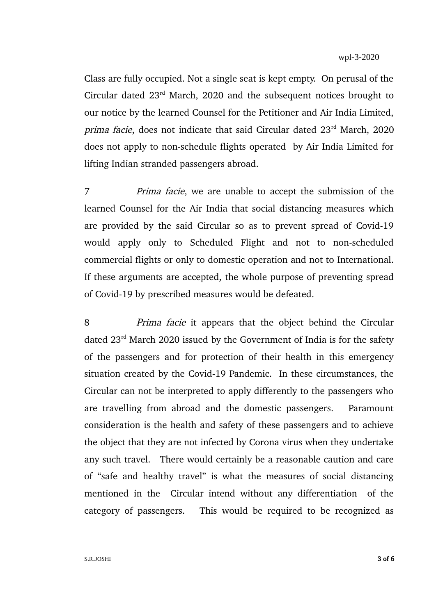Class are fully occupied. Not a single seat is kept empty. On perusal of the Circular dated 23rd March, 2020 and the subsequent notices brought to our notice by the learned Counsel for the Petitioner and Air India Limited, prima facie, does not indicate that said Circular dated 23rd March, 2020 does not apply to non-schedule flights operated by Air India Limited for lifting Indian stranded passengers abroad.

7 Prima facie, we are unable to accept the submission of the learned Counsel for the Air India that social distancing measures which are provided by the said Circular so as to prevent spread of Covid-19 would apply only to Scheduled Flight and not to non-scheduled commercial flights or only to domestic operation and not to International. If these arguments are accepted, the whole purpose of preventing spread of Covid-19 by prescribed measures would be defeated.

8 *Prima facie* it appears that the object behind the Circular dated 23rd March 2020 issued by the Government of India is for the safety of the passengers and for protection of their health in this emergency situation created by the Covid-19 Pandemic. In these circumstances, the Circular can not be interpreted to apply differently to the passengers who are travelling from abroad and the domestic passengers. Paramount consideration is the health and safety of these passengers and to achieve the object that they are not infected by Corona virus when they undertake any such travel. There would certainly be a reasonable caution and care of "safe and healthy travel" is what the measures of social distancing mentioned in the Circular intend without any differentiation of the category of passengers. This would be required to be recognized as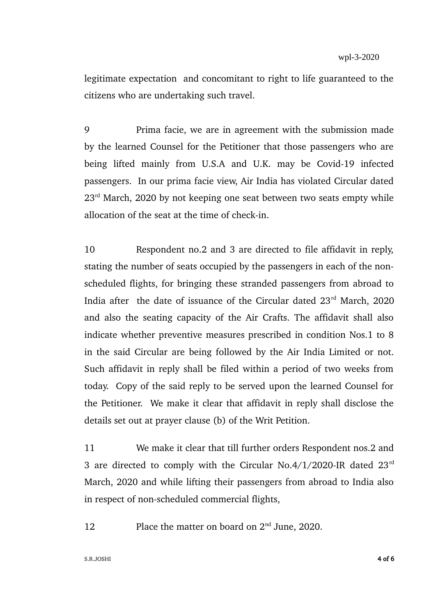legitimate expectation and concomitant to right to life guaranteed to the citizens who are undertaking such travel.

9 Prima facie, we are in agreement with the submission made by the learned Counsel for the Petitioner that those passengers who are being lifted mainly from U.S.A and U.K. may be Covid-19 infected passengers. In our prima facie view, Air India has violated Circular dated  $23<sup>rd</sup>$  March, 2020 by not keeping one seat between two seats empty while allocation of the seat at the time of check-in.

10 Respondent no.2 and 3 are directed to file affidavit in reply, stating the number of seats occupied by the passengers in each of the nonscheduled flights, for bringing these stranded passengers from abroad to India after the date of issuance of the Circular dated  $23<sup>rd</sup>$  March, 2020 and also the seating capacity of the Air Crafts. The affidavit shall also indicate whether preventive measures prescribed in condition Nos.1 to 8 in the said Circular are being followed by the Air India Limited or not. Such affidavit in reply shall be filed within a period of two weeks from today. Copy of the said reply to be served upon the learned Counsel for the Petitioner. We make it clear that affidavit in reply shall disclose the details set out at prayer clause (b) of the Writ Petition.

11 We make it clear that till further orders Respondent nos.2 and 3 are directed to comply with the Circular No.4/1/2020-IR dated 23rd March, 2020 and while lifting their passengers from abroad to India also in respect of non-scheduled commercial flights,

12 Place the matter on board on 2<sup>nd</sup> June, 2020.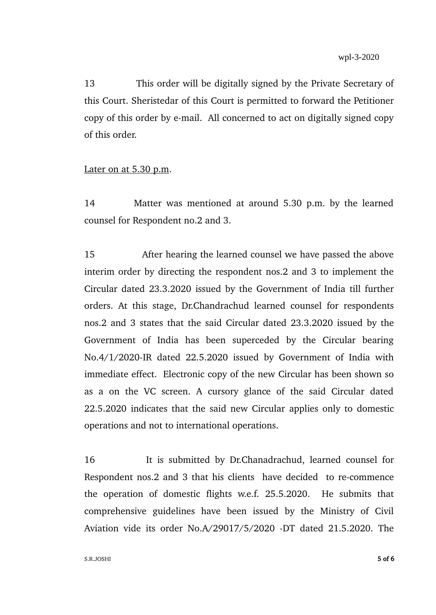13 This order will be digitally signed by the Private Secretary of this Court. Sheristedar of this Court is permitted to forward the Petitioner copy of this order by e-mail. All concerned to act on digitally signed copy of this order.

### Later on at 5.30 p.m.

14 Matter was mentioned at around 5.30 p.m. by the learned counsel for Respondent no.2 and 3.

15 After hearing the learned counsel we have passed the above interim order by directing the respondent nos.2 and 3 to implement the Circular dated 23.3.2020 issued by the Government of India till further orders. At this stage, Dr.Chandrachud learned counsel for respondents nos.2 and 3 states that the said Circular dated 23.3.2020 issued by the Government of India has been superceded by the Circular bearing No.4/1/2020-IR dated 22.5.2020 issued by Government of India with immediate effect. Electronic copy of the new Circular has been shown so as a on the VC screen. A cursory glance of the said Circular dated 22.5.2020 indicates that the said new Circular applies only to domestic operations and not to international operations.

16 It is submitted by Dr.Chanadrachud, learned counsel for Respondent nos.2 and 3 that his clients have decided to re-commence the operation of domestic flights w.e.f. 25.5.2020. He submits that comprehensive guidelines have been issued by the Ministry of Civil Aviation vide its order No.A/29017/5/2020 -DT dated 21.5.2020. The